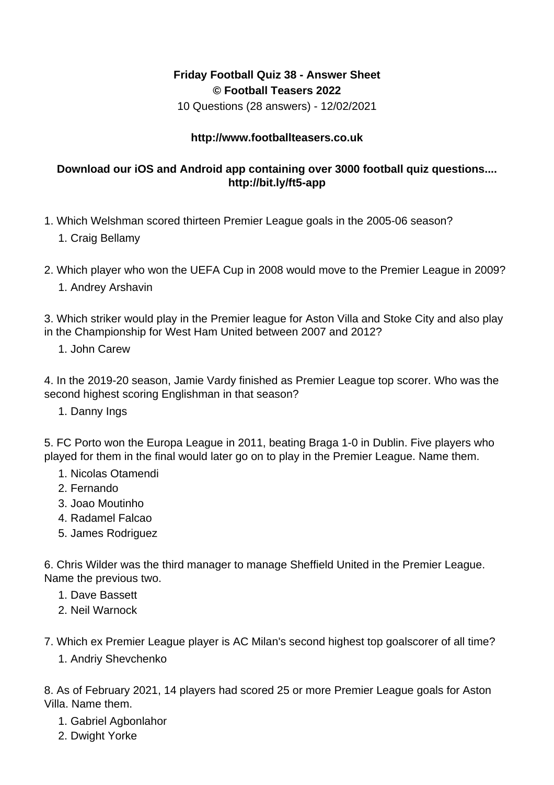## **Friday Football Quiz 38 - Answer Sheet © Football Teasers 2022**

10 Questions (28 answers) - 12/02/2021

## **http://www.footballteasers.co.uk**

## **Download our iOS and Android app containing over 3000 football quiz questions.... http://bit.ly/ft5-app**

- 1. Which Welshman scored thirteen Premier League goals in the 2005-06 season?
	- 1. Craig Bellamy
- 2. Which player who won the UEFA Cup in 2008 would move to the Premier League in 2009? 1. Andrey Arshavin

3. Which striker would play in the Premier league for Aston Villa and Stoke City and also play in the Championship for West Ham United between 2007 and 2012?

1. John Carew

4. In the 2019-20 season, Jamie Vardy finished as Premier League top scorer. Who was the second highest scoring Englishman in that season?

1. Danny Ings

5. FC Porto won the Europa League in 2011, beating Braga 1-0 in Dublin. Five players who played for them in the final would later go on to play in the Premier League. Name them.

- 1. Nicolas Otamendi
- 2. Fernando
- 3. Joao Moutinho
- 4. Radamel Falcao
- 5. James Rodriguez

6. Chris Wilder was the third manager to manage Sheffield United in the Premier League. Name the previous two.

- 1. Dave Bassett
- 2. Neil Warnock

7. Which ex Premier League player is AC Milan's second highest top goalscorer of all time?

1. Andriy Shevchenko

8. As of February 2021, 14 players had scored 25 or more Premier League goals for Aston Villa. Name them.

- 1. Gabriel Agbonlahor
- 2. Dwight Yorke